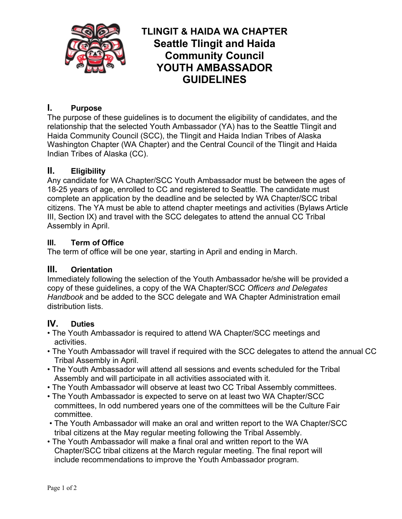

# **TLINGIT & HAIDA WA CHAPTER Seattle Tlingit and Haida Community Council YOUTH AMBASSADOR GUIDELINES**

# **I. Purpose**

The purpose of these guidelines is to document the eligibility of candidates, and the relationship that the selected Youth Ambassador (YA) has to the Seattle Tlingit and Haida Community Council (SCC), the Tlingit and Haida Indian Tribes of Alaska Washington Chapter (WA Chapter) and the Central Council of the Tlingit and Haida Indian Tribes of Alaska (CC).

## **II. Eligibility**

Any candidate for WA Chapter/SCC Youth Ambassador must be between the ages of 18-25 years of age, enrolled to CC and registered to Seattle. The candidate must complete an application by the deadline and be selected by WA Chapter/SCC tribal citizens. The YA must be able to attend chapter meetings and activities (Bylaws Article III, Section IX) and travel with the SCC delegates to attend the annual CC Tribal Assembly in April.

## **III. Term of Office**

The term of office will be one year, starting in April and ending in March.

#### **III. Orientation**

Immediately following the selection of the Youth Ambassador he/she will be provided a copy of these guidelines, a copy of the WA Chapter/SCC *Officers and Delegates Handbook* and be added to the SCC delegate and WA Chapter Administration email distribution lists.

#### **IV. Duties**

- The Youth Ambassador is required to attend WA Chapter/SCC meetings and activities.
- The Youth Ambassador will travel if required with the SCC delegates to attend the annual CC Tribal Assembly in April.
- The Youth Ambassador will attend all sessions and events scheduled for the Tribal Assembly and will participate in all activities associated with it.
- The Youth Ambassador will observe at least two CC Tribal Assembly committees.
- The Youth Ambassador is expected to serve on at least two WA Chapter/SCC committees, In odd numbered years one of the committees will be the Culture Fair committee.
- The Youth Ambassador will make an oral and written report to the WA Chapter/SCC tribal citizens at the May regular meeting following the Tribal Assembly.
- The Youth Ambassador will make a final oral and written report to the WA Chapter/SCC tribal citizens at the March regular meeting. The final report will include recommendations to improve the Youth Ambassador program.